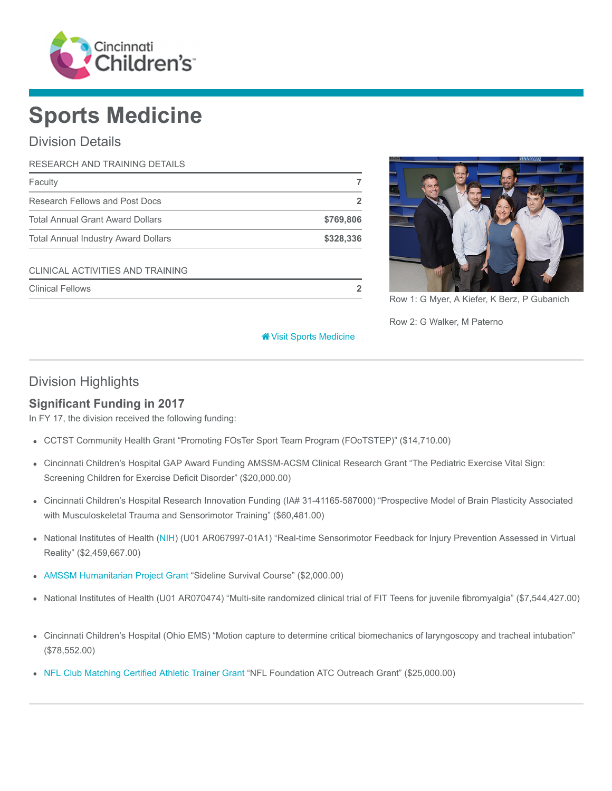

# Sports Medicine

# Division Details

| RESEARCH AND TRAINING DETAILS              |           |
|--------------------------------------------|-----------|
| Faculty                                    |           |
| Research Fellows and Post Docs             |           |
| <b>Total Annual Grant Award Dollars</b>    | \$769,806 |
| <b>Total Annual Industry Award Dollars</b> | \$328,336 |
| CLINICAL ACTIVITIES AND TRAINING           |           |
| <b>Clinical Fellows</b>                    |           |



Row 1: G Myer, A Kiefer, K Berz, P Gubanich

Row 2: G Walker, M Paterno

#### [Visit Sports Medicine](https://www.cincinnatichildrens.org/research/divisions/s/sports)

## Division Highlights

#### Significant Funding in 2017

In FY 17, the division received the following funding:

- CCTST Community Health Grant "Promoting FOsTer Sport Team Program (FOoTSTEP)" (\$14,710.00)
- Cincinnati Children's Hospital GAP Award Funding AMSSM-ACSM Clinical Research Grant "The Pediatric Exercise Vital Sign: Screening Children for Exercise Deficit Disorder" (\$20,000.00)
- Cincinnati Children's Hospital Research Innovation Funding (IA# 31-41165-587000) "Prospective Model of Brain Plasticity Associated with Musculoskeletal Trauma and Sensorimotor Training" (\$60,481.00)
- National Institutes of Health ([NIH](https://www.nih.gov/)) (U01 AR067997-01A1) "Real-time Sensorimotor Feedback for Injury Prevention Assessed in Virtual Reality" (\$2,459,667.00)
- [AMSSM Humanitarian Project Grant](https://www.amssm.org/ServiceProject.php) "Sideline Survival Course" (\$2,000.00)
- National Institutes of Health (U01 AR070474) "Multi-site randomized clinical trial of FIT Teens for juvenile fibromyalgia" (\$7,544,427.00)
- Cincinnati Children's Hospital (Ohio EMS) "Motion capture to determine critical biomechanics of laryngoscopy and tracheal intubation" (\$78,552.00)
- [NFL Club Matching Certified Athletic Trainer Grant](http://www.nflfoundation.org/applications/programs/view/CMG) "NFL Foundation ATC Outreach Grant" (\$25,000.00)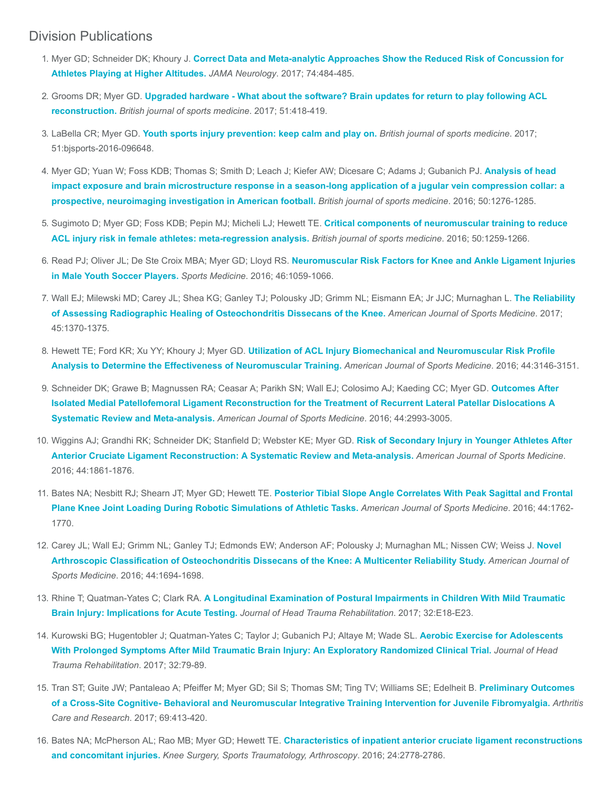#### Division Publications

- 1. Myer GD; Schneider DK; Khoury J. [Correct Data and Meta-analytic Approaches Show the Reduced Risk of Concussion for](https://www.ncbi.nlm.nih.gov/pubmed/28241162) Athletes Playing at Higher Altitudes. JAMA Neurology. 2017; 74:484-485.
- 2. Grooms DR; Myer GD. [Upgraded hardware What about the software? Brain updates for return to play following ACL](https://www.ncbi.nlm.nih.gov/pubmed/27797732) reconstruction. British journal of sports medicine. 2017; 51:418-419.
- 3. LaBella CR; Myer GD. [Youth sports injury prevention: keep calm and play on.](https://www.ncbi.nlm.nih.gov/pubmed/27919920) British journal of sports medicine. 2017; 51:bjsports-2016-096648.
- 4. [Myer GD; Yuan W; Foss KDB; Thomas S; Smith D; Leach J; Kiefer AW; Dicesare C; Adams J; Gubanich PJ.](https://www.ncbi.nlm.nih.gov/pubmed/27307271) Analysis of head impact exposure and brain microstructure response in a season-long application of a jugular vein compression collar: a prospective, neuroimaging investigation in American football. British journal of sports medicine. 2016; 50:1276-1285.
- 5. [Sugimoto D; Myer GD; Foss KDB; Pepin MJ; Micheli LJ; Hewett TE.](https://www.ncbi.nlm.nih.gov/pubmed/27251898) Critical components of neuromuscular training to reduce ACL injury risk in female athletes: meta-regression analysis. British journal of sports medicine. 2016; 50:1259-1266.
- 6. [Read PJ; Oliver JL; De Ste Croix MBA; Myer GD; Lloyd RS.](https://www.ncbi.nlm.nih.gov/pubmed/26856339) Neuromuscular Risk Factors for Knee and Ankle Ligament Injuries in Male Youth Soccer Players. Sports Medicine. 2016; 46:1059-1066.
- 7. [Wall EJ; Milewski MD; Carey JL; Shea KG; Ganley TJ; Polousky JD; Grimm NL; Eismann EA; Jr JJC; Murnaghan L.](https://www.ncbi.nlm.nih.gov/pubmed/28398084) The Reliability of Assessing Radiographic Healing of Osteochondritis Dissecans of the Knee. American Journal of Sports Medicine. 2017; 45:1370-1375.
- 8. Hewett TE; Ford KR; Xu YY; Khoury J; Myer GD. [Utilization of ACL Injury Biomechanical and Neuromuscular Risk Profile](https://www.ncbi.nlm.nih.gov/pubmed/27474385) Analysis to Determine the Effectiveness of Neuromuscular Training. American Journal of Sports Medicine. 2016; 44:3146-3151.
- 9. Schneider DK; Grawe B; Magnussen RA; Ceasar A; Parikh SN; Wall EJ; Colosimo AJ; Kaeding CC; Myer GD. Outcomes After [Isolated Medial Patellofemoral Ligament Reconstruction for the Treatment of Recurrent Lateral Patellar Dislocations A](https://www.ncbi.nlm.nih.gov/pubmed/26872895) Systematic Review and Meta-analysis. American Journal of Sports Medicine. 2016; 44:2993-3005.
- 10. [Wiggins AJ; Grandhi RK; Schneider DK; Stanfield D; Webster KE; Myer GD.](https://www.ncbi.nlm.nih.gov/pubmed/26772611) Risk of Secondary Injury in Younger Athletes After Anterior Cruciate Ligament Reconstruction: A Systematic Review and Meta-analysis. American Journal of Sports Medicine. 2016; 44:1861-1876.
- 11. Bates NA; Nesbitt RJ; Shearn JT; Myer GD; Hewett TE. Posterior Tibial Slope Angle Correlates With Peak Sagittal and Frontal [Plane Knee Joint Loading During Robotic Simulations of Athletic Tasks.](https://www.ncbi.nlm.nih.gov/pubmed/27159295) American Journal of Sports Medicine. 2016; 44:1762-1770.
- 12. [Carey JL; Wall EJ; Grimm NL; Ganley TJ; Edmonds EW; Anderson AF; Polousky J; Murnaghan ML; Nissen CW; Weiss J.](https://www.ncbi.nlm.nih.gov/pubmed/27159302) Novel Arthroscopic Classification of Osteochondritis Dissecans of the Knee: A Multicenter Reliability Study. American Journal of Sports Medicine. 2016; 44:1694-1698.
- 13. Rhine T; Quatman-Yates C; Clark RA. [A Longitudinal Examination of Postural Impairments in Children With Mild Traumatic](https://www.ncbi.nlm.nih.gov/pubmed/26580689) Brain Injury: Implications for Acute Testing. Journal of Head Trauma Rehabilitation. 2017; 32:E18-E23.
- 14. [Kurowski BG; Hugentobler J; Quatman-Yates C; Taylor J; Gubanich PJ; Altaye M; Wade SL.](https://www.ncbi.nlm.nih.gov/pubmed/27120294) Aerobic Exercise for Adolescents With Prolonged Symptoms After Mild Traumatic Brain Injury: An Exploratory Randomized Clinical Trial. Journal of Head Trauma Rehabilitation. 2017; 32:79-89.
- 15. Tran ST; Guite JW; Pantaleao A; Pfeiffer M; Myer GD; Sil S; Thomas SM; Ting TV; Williams SE; Edelheit B. Preliminary Outcomes [of a Cross-Site Cognitive- Behavioral and Neuromuscular Integrative Training Intervention for Juvenile Fibromyalgia.](https://www.ncbi.nlm.nih.gov/pubmed/27331358) Arthritis Care and Research. 2017; 69:413-420.
- 16. Bates NA; McPherson AL; Rao MB; Myer GD; Hewett TE. [Characteristics of inpatient anterior cruciate ligament reconstructions](https://www.ncbi.nlm.nih.gov/pubmed/25510363) and concomitant injuries. Knee Surgery, Sports Traumatology, Arthroscopy. 2016; 24:2778-2786.